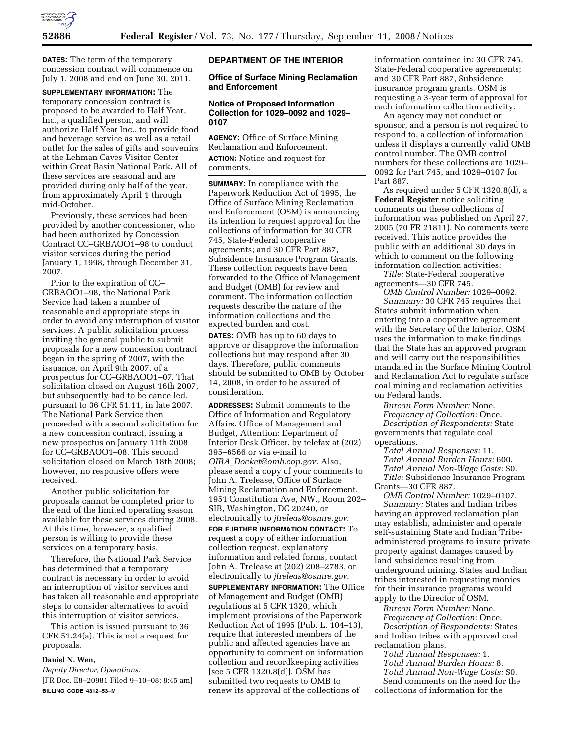

**DATES:** The term of the temporary concession contract will commence on July 1, 2008 and end on June 30, 2011.

**SUPPLEMENTARY INFORMATION:** The temporary concession contract is proposed to be awarded to Half Year, Inc., a qualified person, and will authorize Half Year Inc., to provide food and beverage service as well as a retail outlet for the sales of gifts and souvenirs at the Lehman Caves Visitor Center within Great Basin National Park. All of these services are seasonal and are provided during only half of the year, from approximately April 1 through mid-October.

Previously, these services had been provided by another concessioner, who had been authorized by Concession Contract CC–GRBAOO1–98 to conduct visitor services during the period January 1, 1998, through December 31, 2007.

Prior to the expiration of CC– GRBAOO1–98, the National Park Service had taken a number of reasonable and appropriate steps in order to avoid any interruption of visitor services. A public solicitation process inviting the general public to submit proposals for a new concession contract began in the spring of 2007, with the issuance, on April 9th 2007, of a prospectus for CC–GRBAOO1–07. That solicitation closed on August 16th 2007, but subsequently had to be cancelled, pursuant to 36 CFR 51.11, in late 2007. The National Park Service then proceeded with a second solicitation for a new concession contract, issuing a new prospectus on January 11th 2008 for CC–GRBAOO1–08. This second solicitation closed on March 18th 2008; however, no responsive offers were received.

Another public solicitation for proposals cannot be completed prior to the end of the limited operating season available for these services during 2008. At this time, however, a qualified person is willing to provide these services on a temporary basis.

Therefore, the National Park Service has determined that a temporary contract is necessary in order to avoid an interruption of visitor services and has taken all reasonable and appropriate steps to consider alternatives to avoid this interruption of visitor services.

This action is issued pursuant to 36 CFR 51.24(a). This is not a request for proposals.

# **Daniel N. Wen,**

*Deputy Director, Operations.*  [FR Doc. E8–20981 Filed 9–10–08; 8:45 am] **BILLING CODE 4312–53–M** 

## **DEPARTMENT OF THE INTERIOR**

### **Office of Surface Mining Reclamation and Enforcement**

## **Notice of Proposed Information Collection for 1029–0092 and 1029– 0107**

**AGENCY:** Office of Surface Mining Reclamation and Enforcement. **ACTION:** Notice and request for comments.

**SUMMARY:** In compliance with the Paperwork Reduction Act of 1995, the Office of Surface Mining Reclamation and Enforcement (OSM) is announcing its intention to request approval for the collections of information for 30 CFR 745, State-Federal cooperative agreements; and 30 CFR Part 887, Subsidence Insurance Program Grants. These collection requests have been forwarded to the Office of Management and Budget (OMB) for review and comment. The information collection requests describe the nature of the information collections and the expected burden and cost.

**DATES:** OMB has up to 60 days to approve or disapprove the information collections but may respond after 30 days. Therefore, public comments should be submitted to OMB by October 14, 2008, in order to be assured of consideration.

**ADDRESSES:** Submit comments to the Office of Information and Regulatory Affairs, Office of Management and Budget, Attention: Department of Interior Desk Officer, by telefax at (202) 395–6566 or via e-mail to *OIRA*\_*Docket@omb.eop.gov*. Also, please send a copy of your comments to John A. Trelease, Office of Surface Mining Reclamation and Enforcement, 1951 Constitution Ave, NW., Room 202– SIB, Washington, DC 20240, or electronically to *jtreleas@osmre.gov*.

**FOR FURTHER INFORMATION CONTACT:** To request a copy of either information collection request, explanatory information and related forms, contact John A. Trelease at (202) 208–2783, or electronically to *jtreleas@osmre.gov*.

**SUPPLEMENTARY INFORMATION:** The Office of Management and Budget (OMB) regulations at 5 CFR 1320, which implement provisions of the Paperwork Reduction Act of 1995 (Pub. L. 104–13), require that interested members of the public and affected agencies have an opportunity to comment on information collection and recordkeeping activities [see 5 CFR 1320.8(d)]. OSM has submitted two requests to OMB to renew its approval of the collections of

information contained in: 30 CFR 745, State-Federal cooperative agreements; and 30 CFR Part 887, Subsidence insurance program grants. OSM is requesting a 3-year term of approval for each information collection activity.

An agency may not conduct or sponsor, and a person is not required to respond to, a collection of information unless it displays a currently valid OMB control number. The OMB control numbers for these collections are 1029– 0092 for Part 745, and 1029–0107 for Part 887.

As required under 5 CFR 1320.8(d), a **Federal Register** notice soliciting comments on these collections of information was published on April 27, 2005 (70 FR 21811). No comments were received. This notice provides the public with an additional 30 days in which to comment on the following information collection activities:

*Title:* State-Federal cooperative agreements—30 CFR 745.

*OMB Control Number:* 1029–0092. *Summary:* 30 CFR 745 requires that States submit information when entering into a cooperative agreement with the Secretary of the Interior. OSM uses the information to make findings that the State has an approved program and will carry out the responsibilities mandated in the Surface Mining Control and Reclamation Act to regulate surface coal mining and reclamation activities on Federal lands.

*Bureau Form Number:* None. *Frequency of Collection:* Once. *Description of Respondents:* State

governments that regulate coal operations.

*Total Annual Responses:* 11. *Total Annual Burden Hours:* 600. *Total Annual Non-Wage Costs:* \$0. *Title:* Subsidence Insurance Program Grants—30 CFR 887.

*OMB Control Number:* 1029–0107. *Summary:* States and Indian tribes having an approved reclamation plan may establish, administer and operate self-sustaining State and Indian Tribeadministered programs to insure private property against damages caused by land subsidence resulting from underground mining. States and Indian tribes interested in requesting monies for their insurance programs would apply to the Director of OSM.

*Bureau Form Number:* None. *Frequency of Collection:* Once. *Description of Respondents:* States and Indian tribes with approved coal reclamation plans.

*Total Annual Responses:* 1. *Total Annual Burden Hours:* 8. *Total Annual Non-Wage Costs:* \$0. Send comments on the need for the collections of information for the